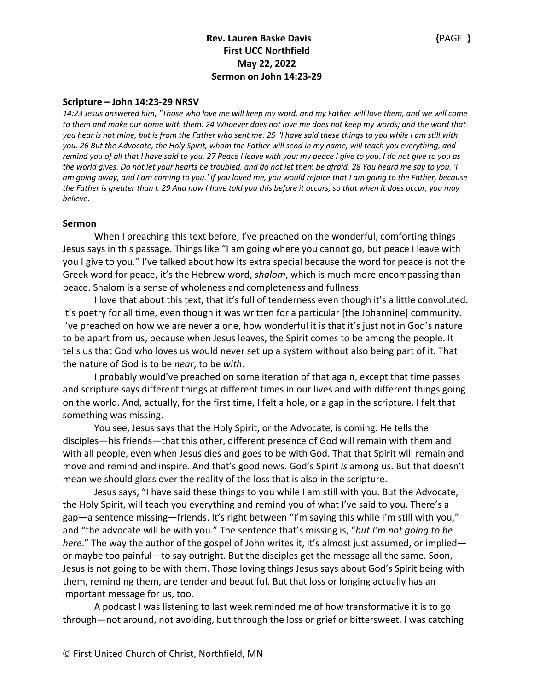### **Scripture – John 14:23-29 NRSV**

*14:23 Jesus answered him, "Those who love me will keep my word, and my Father will love them, and we will come to them and make our home with them. 24 Whoever does not love me does not keep my words; and the word that you hear is not mine, but is from the Father who sent me. 25 "I have said these things to you while I am still with you. 26 But the Advocate, the Holy Spirit, whom the Father will send in my name, will teach you everything, and remind you of all that I have said to you. 27 Peace I leave with you; my peace I give to you. I do not give to you as the world gives. Do not let your hearts be troubled, and do not let them be afraid. 28 You heard me say to you, 'I am going away, and I am coming to you.' If you loved me, you would rejoice that I am going to the Father, because the Father is greater than I. 29 And now I have told you this before it occurs, so that when it does occur, you may believe.*

#### **Sermon**

When I preaching this text before, I've preached on the wonderful, comforting things Jesus says in this passage. Things like "I am going where you cannot go, but peace I leave with you I give to you." I've talked about how its extra special because the word for peace is not the Greek word for peace, it's the Hebrew word, *shalom*, which is much more encompassing than peace. Shalom is a sense of wholeness and completeness and fullness.

I love that about this text, that it's full of tenderness even though it's a little convoluted. It's poetry for all time, even though it was written for a particular [the Johannine] community. I've preached on how we are never alone, how wonderful it is that it's just not in God's nature to be apart from us, because when Jesus leaves, the Spirit comes to be among the people. It tells us that God who loves us would never set up a system without also being part of it. That the nature of God is to be *near*, to be *with*.

I probably would've preached on some iteration of that again, except that time passes and scripture says different things at different times in our lives and with different things going on the world. And, actually, for the first time, I felt a hole, or a gap in the scripture. I felt that something was missing.

You see, Jesus says that the Holy Spirit, or the Advocate, is coming. He tells the disciples—his friends—that this other, different presence of God will remain with them and with all people, even when Jesus dies and goes to be with God. That that Spirit will remain and move and remind and inspire. And that's good news. God's Spirit *is* among us. But that doesn't mean we should gloss over the reality of the loss that is also in the scripture.

Jesus says, "I have said these things to you while I am still with you. But the Advocate, the Holy Spirit, will teach you everything and remind you of what I've said to you. There's a gap—a sentence missing—friends. It's right between "I'm saying this while I'm still with you," and "the advocate will be with you." The sentence that's missing is, "*but I'm not going to be here*." The way the author of the gospel of John writes it, it's almost just assumed, or implied or maybe too painful—to say outright. But the disciples get the message all the same. Soon, Jesus is not going to be with them. Those loving things Jesus says about God's Spirit being with them, reminding them, are tender and beautiful. But that loss or longing actually has an important message for us, too.

A podcast I was listening to last week reminded me of how transformative it is to go through—not around, not avoiding, but through the loss or grief or bittersweet. I was catching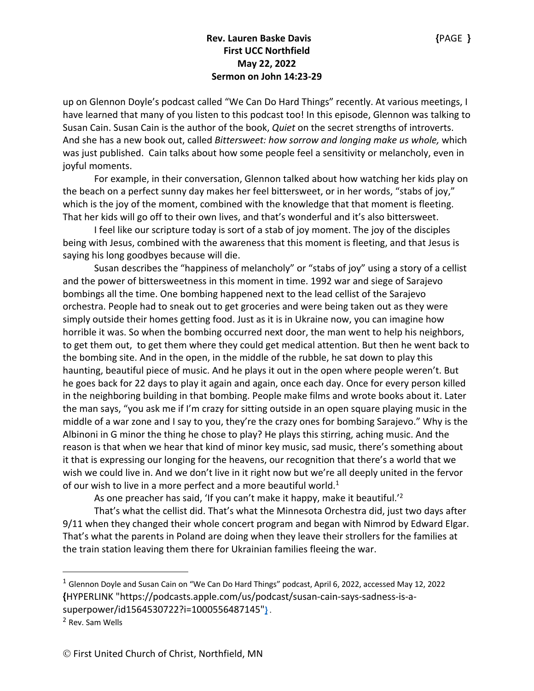up on Glennon Doyle's podcast called "We Can Do Hard Things" recently. At various meetings, I have learned that many of you listen to this podcast too! In this episode, Glennon was talking to Susan Cain. Susan Cain is the author of the book, *Quiet* on the secret strengths of introverts. And she has a new book out, called *Bittersweet: how sorrow and longing make us whole,* which was just published. Cain talks about how some people feel a sensitivity or melancholy, even in joyful moments.

For example, in their conversation, Glennon talked about how watching her kids play on the beach on a perfect sunny day makes her feel bittersweet, or in her words, "stabs of joy," which is the joy of the moment, combined with the knowledge that that moment is fleeting. That her kids will go off to their own lives, and that's wonderful and it's also bittersweet.

I feel like our scripture today is sort of a stab of joy moment. The joy of the disciples being with Jesus, combined with the awareness that this moment is fleeting, and that Jesus is saying his long goodbyes because will die.

Susan describes the "happiness of melancholy" or "stabs of joy" using a story of a cellist and the power of bittersweetness in this moment in time. 1992 war and siege of Sarajevo bombings all the time. One bombing happened next to the lead cellist of the Sarajevo orchestra. People had to sneak out to get groceries and were being taken out as they were simply outside their homes getting food. Just as it is in Ukraine now, you can imagine how horrible it was. So when the bombing occurred next door, the man went to help his neighbors, to get them out, to get them where they could get medical attention. But then he went back to the bombing site. And in the open, in the middle of the rubble, he sat down to play this haunting, beautiful piece of music. And he plays it out in the open where people weren't. But he goes back for 22 days to play it again and again, once each day. Once for every person killed in the neighboring building in that bombing. People make films and wrote books about it. Later the man says, "you ask me if I'm crazy for sitting outside in an open square playing music in the middle of a war zone and I say to you, they're the crazy ones for bombing Sarajevo." Why is the Albinoni in G minor the thing he chose to play? He plays this stirring, aching music. And the reason is that when we hear that kind of minor key music, sad music, there's something about it that is expressing our longing for the heavens, our recognition that there's a world that we wish we could live in. And we don't live in it right now but we're all deeply united in the fervor of our wish to live in a more perfect and a more beautiful world.<sup>1</sup>

As one preacher has said, 'If you can't make it happy, make it beautiful.'<sup>2</sup>

That's what the cellist did. That's what the Minnesota Orchestra did, just two days after 9/11 when they changed their whole concert program and began with Nimrod by Edward Elgar. That's what the parents in Poland are doing when they leave their strollers for the families at the train station leaving them there for Ukrainian families fleeing the war.

<sup>1</sup> Glennon Doyle and Susan Cain on "We Can Do Hard Things" podcast, April 6, 2022, accessed May 12, 2022 **{**HYPERLINK "https://podcasts.apple.com/us/podcast/susan-cain-says-sadness-is-asuperpower/id1564530722?i=1000556487145"**}** .

<sup>2</sup> Rev. Sam Wells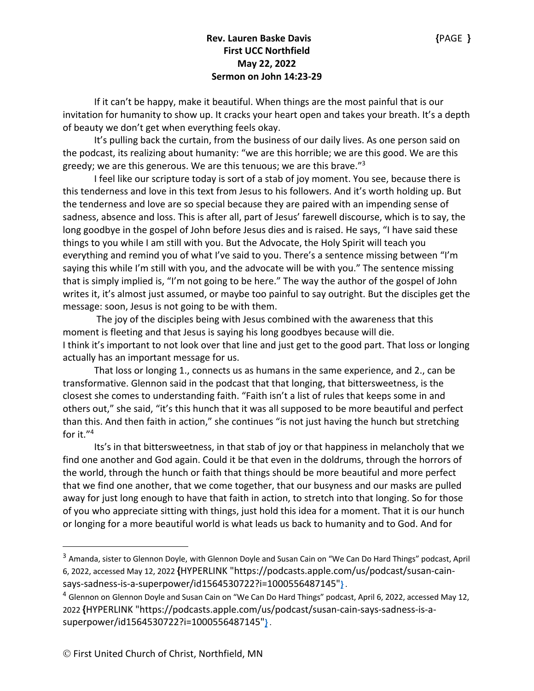If it can't be happy, make it beautiful. When things are the most painful that is our invitation for humanity to show up. It cracks your heart open and takes your breath. It's a depth of beauty we don't get when everything feels okay.

It's pulling back the curtain, from the business of our daily lives. As one person said on the podcast, its realizing about humanity: "we are this horrible; we are this good. We are this greedy; we are this generous. We are this tenuous; we are this brave."3

I feel like our scripture today is sort of a stab of joy moment. You see, because there is this tenderness and love in this text from Jesus to his followers. And it's worth holding up. But the tenderness and love are so special because they are paired with an impending sense of sadness, absence and loss. This is after all, part of Jesus' farewell discourse, which is to say, the long goodbye in the gospel of John before Jesus dies and is raised. He says, "I have said these things to you while I am still with you. But the Advocate, the Holy Spirit will teach you everything and remind you of what I've said to you. There's a sentence missing between "I'm saying this while I'm still with you, and the advocate will be with you." The sentence missing that is simply implied is, "I'm not going to be here." The way the author of the gospel of John writes it, it's almost just assumed, or maybe too painful to say outright. But the disciples get the message: soon, Jesus is not going to be with them.

The joy of the disciples being with Jesus combined with the awareness that this moment is fleeting and that Jesus is saying his long goodbyes because will die. I think it's important to not look over that line and just get to the good part. That loss or longing actually has an important message for us.

That loss or longing 1., connects us as humans in the same experience, and 2., can be transformative. Glennon said in the podcast that that longing, that bittersweetness, is the closest she comes to understanding faith. "Faith isn't a list of rules that keeps some in and others out," she said, "it's this hunch that it was all supposed to be more beautiful and perfect than this. And then faith in action," she continues "is not just having the hunch but stretching for it."4

Its's in that bittersweetness, in that stab of joy or that happiness in melancholy that we find one another and God again. Could it be that even in the doldrums, through the horrors of the world, through the hunch or faith that things should be more beautiful and more perfect that we find one another, that we come together, that our busyness and our masks are pulled away for just long enough to have that faith in action, to stretch into that longing. So for those of you who appreciate sitting with things, just hold this idea for a moment. That it is our hunch or longing for a more beautiful world is what leads us back to humanity and to God. And for

<sup>3</sup> Amanda, sister to Glennon Doyle, with Glennon Doyle and Susan Cain on "We Can Do Hard Things" podcast, April 6, 2022, accessed May 12, 2022 **{**HYPERLINK "https://podcasts.apple.com/us/podcast/susan-cainsays-sadness-is-a-superpower/id1564530722?i=1000556487145"**}** .

<sup>&</sup>lt;sup>4</sup> Glennon on Glennon Doyle and Susan Cain on "We Can Do Hard Things" podcast, April 6, 2022, accessed May 12, 2022 **{**HYPERLINK "https://podcasts.apple.com/us/podcast/susan-cain-says-sadness-is-asuperpower/id1564530722?i=1000556487145"**}** .